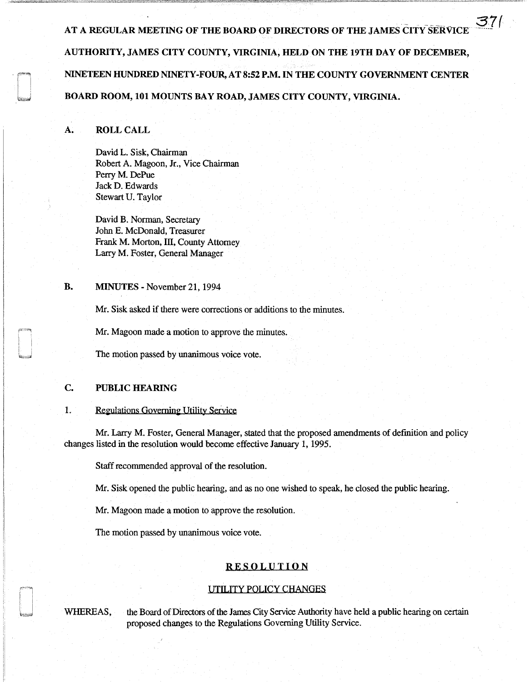AT A REGULAR MEETING OF THE BOARD OF DIRECTORS OF THE JAMES CITY SERVICE AUTHORITY, JAMES CITY COUNTY, VIRGINIA, HELD ON THE 19TH DAY OF DECEMBER, NINETEEN HUNDRED NINETY-FOUR, AT 8:52 P.M. IN THE COUNTY GOVERNMENT CENTER BOARD ROOM, 101 MOUNTS BAY ROAD, JAMES CITY COUNTY, VIRGINIA.

371

### A. ROLL CALL

David L. Sisk, Chairman Robert A. Magoon, Jr., Vice Chairman Perry M. DePue JackD. Edwards Stewart U. Taylor

David B. Norman, Secretary John E. McDonald, Treasurer Frank M. Morton, III, County Attorney Larry M. Foster, General Manager

### B. MINUTES - November 21, 1994

Mr. Sisk asked if there were corrections or additions to the minutes.

Mr. Magoon made a motion to approve the minutes.

The motion passed by unanimous voice vote.

## C. PUBLIC HEARING

### 1. Regulations Governing Utility Service

Mr. Larry M. Foster, General Manager, stated that the proposed amendments of definition and policy changes listed in the resolution would become effective January l, 1995.

Staff recommended approval of the resolution.

Mr. Sisk opened the public hearing, and as no one wished to speak, he closed the public hearing.

Mr. Magoon made a motion to approve the resolution.

The motion passed by unanimous voice vote.

### RESOLUTION

### UTILITY POLICY CHANGES

WHEREAS, the Board of Directors of the James City Service Authority have held a public hearing on certain proposed changes to the Regulations Governing Utility Service.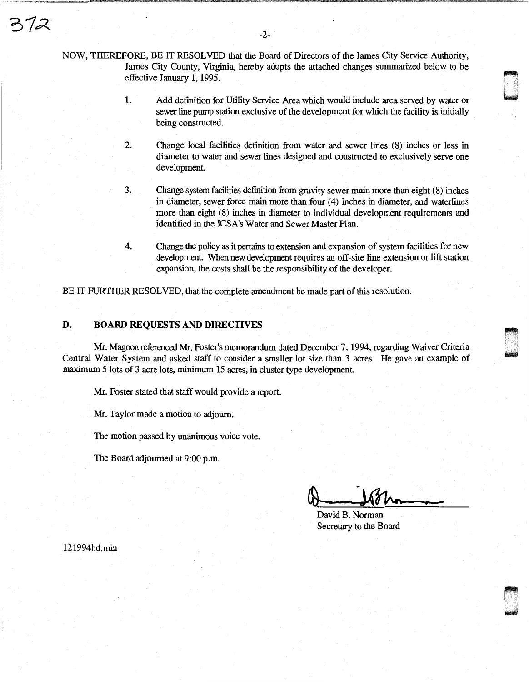NOW, THEREFORE, BE IT RESOLVED that the Board of Directors of the James City Service Authority, James City County, Virginia, hereby adopts the attached changes summarized below to be effective January 1, 1995.

- 1. Add definition for Utility Service Area which would include area served by water or sewer line pump station exclusive of the development for which the facility is initially being constructed.
- 2. Change local facilities definition from water and sewer lines (8) inches or less in diameter to water and sewer lines designed and constructed to exclusively serve one development
- 3. Change system facilities definition from gravity sewer main more than eight (8) inches in diameter, sewer force main more than four (4) inches in diameter, and waterlines more than eight (8) inches in diameter to individual development requirements and identified in the JCSA's Water and Sewer Master Plan.
- 4. Change the policy as it pertains to extension and expansion of system facilities for new development. When new development requires an off-site line extension or lift station expansion, the costs shall be the responsibility of the developer.

BE IT FURTHER RESOLVED, that the complete amendment be made part of this resolution.

### D. BOARD REQUESTS AND DIRECTIVES

Mr. Magoon referenced Mr. Foster's memorandum dated December 7, 1994, regarding Waiver Criteria Central Water System and asked staff to consider a smaller lot size than 3 acres. He gave an example of maximum 5 lots of 3 acre lots, minimum 15 acres, in cluster type development.

Mr. Foster stated that staff would provide a report.

Mr. Taylor made a motion to adjourn.

The motion passed by unanimous voice vote.

The Board adjourned at 9:00 p.m.

dwys<br>Bardy

~ I 1 u

David B. Norman Secretary to the Board

121994bd.rnin

72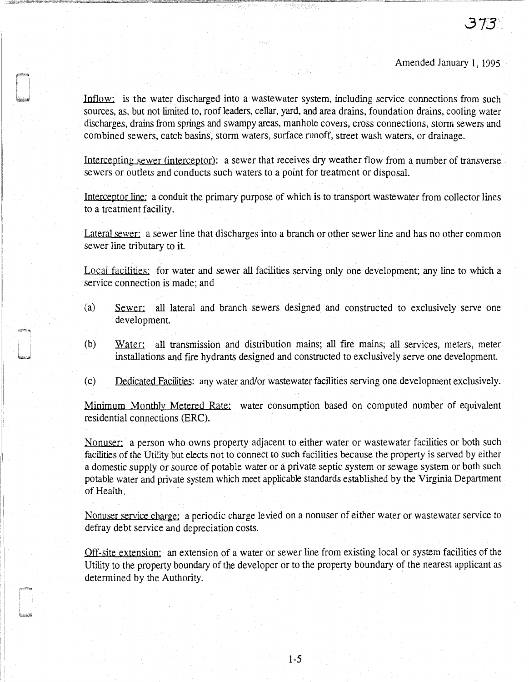# Amended January 1, 1995

Inflow: is the water discharged into a wastewater system, including service connections from such sources, as, but not limited to, roof leaders, cellar, yard, and area drains, foundation drains, cooling water discharges, drains from springs and swampy areas, manhole covers, cross connections, storm sewers and combined sewers, catch basins, storm waters, surface runoff, street wash waters, or drainage.

Intercepting sewer (interceptor): a sewer that receives dry weather flow from a number of transverse sewers or outlets and conducts such waters to a point for treatment or disposal.

Interceptor line: a conduit the primary purpose of which is to transport wastewater from collector lines to a treatment facility.

Lateral sewer: a sewer line that discharges into a branch or other sewer line and has no other common sewer line tributary to it.

Local facilities: for water and sewer all facilities serving only one development; any line to which a service connection is made; and

- (a) Sewer: all lateral and branch sewers designed and constructed to exclusively serve one development.
- (b) Water: all transmission and distribution mains; all fire mains; all services, meters, meter installations and fire hydrants designed and constructed to exclusively serve one development.
- (c) Dedicated Facilities: any water and/or wastewater facilities serving one development exclusively.

Minimum Monthly Metered Rate: water consumption based on computed number of equivalent residential connections (ERC).

Nonuser: a person who owns property adjacent to either water or wastewater facilities or both such facilities of the Utility but elects not to connect to such facilities because the property is served by either a domestic supply or source of potable water or a private septic system or sewage system or both such potable water and private system which meet applicable standards established by the Virginia Department of Health.

Nonuser service charge: a periodic charge levied on a nonuser of either water or wastewater service to defray debt service and depreciation costs.

Off-site extension: an extension of a water or sewer line from existing local or system facilities of the Utility to the property boundary of the developer or to the property boundary of the nearest applicant as determined by the Authority.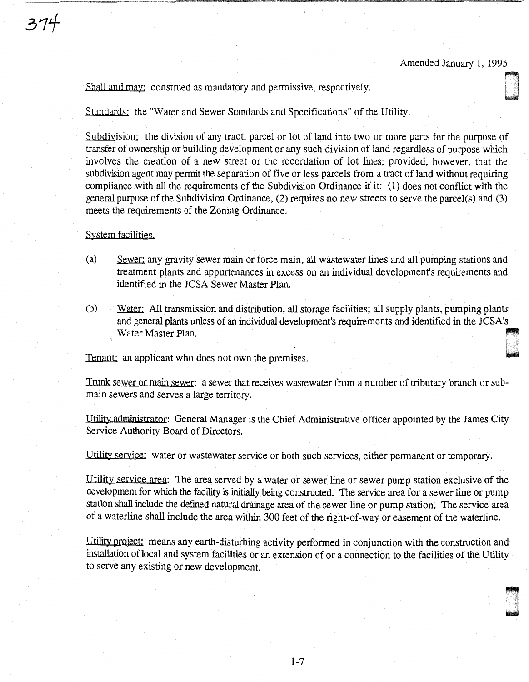0 .<br>1<br>10 .<br>11 .

Shall and may: construed as mandatory and permissive, respectively.

Standards: the "Water and Sewer Standards and Specifications" of the Utility.

Subdivision: the division of any tract, parcel or lot of land into two or more parts for the purpose of transfer of ownership or building development or any such division of land regardless of purpose which involves the creation of a new street or the recordation of lot lines; provided, however, that the subdivision agent may permit the separation of five or less parcels from a tract of land without requiring compliance with all the requirements of the Subdivision Ordinance if it: (1) does not conflict with the general purpose of the Subdivision Ordinance, (2) requires no new streets to serve the parcel(s) and (3) meets the requirements of the Zoning Ordinance.

System facilities.

- (a) Sewer: any gravity sewer main or force main, all wastewater lines and all pumping stations and treatment plants and appurtenances in excess on an individual development's requirements and identified in the JCSA Sewer Master Plan.
- (b) Water: All transmission and distribution, all storage facilities; all supply plants, pumping plants and general plants unless of an individual development's requirements and identified in the JCSA's Water. All dansifies of an individual development's requirements and identified in the JCSA's<br>Water Master Plan.

Tenant: an applicant who does not own the premises.

Trunk sewer or main sewer: a sewer that receives wastewater from a number of tributary branch or submain sewers and serves a large territory.

Utility administrator: General Manager is the Chief Administrative officer appointed by the James City Service Authority Board of Directors.

Utility service: water or wastewater service or both such services, either permanent or temporary.

Utility service area: The area served by a water or sewer line or sewer pump station exclusive of the development for which the facility is initially being constructed. The service area for a sewer line or pump station shall include the defined natural drainage area of the sewer line or pump station. The service area of a waterline shall include the area within 300 feet of the right-of-way or easement of the waterline.

Utility project: means any earth-disturbing activity performed in conjunction with the construction and installation of local and system facilities or an extension of or a connection to the facilities of the Utility to serve any existing or new development.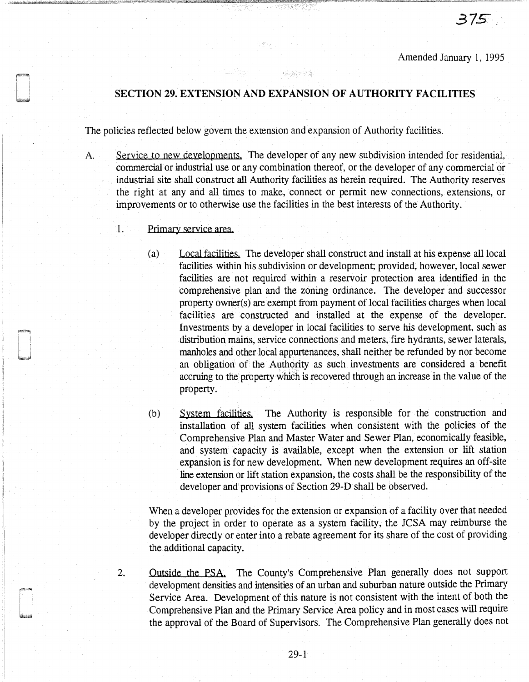# SECTION 29. EXTENSION AND EXPANSION OF AUTHORITY FACILITIES

or anders statist

The policies reflected below govern the extension and expansion of Authority facilities.

- A. Service to new developments. The developer of any new subdivision intended for residential, commercial or industrial use or any combination thereof, or the developer of any commercial or industrial site shall construct all Authority facilities as herein required. The Authority reserves the right at any and all times to make, connect or permit new connections, extensions, or improvements or to otherwise use the facilities in the best interests of the Authority.
	- 1. Primary service area.
		- (a) Local facilities. The developer shall construct and install at his expense all local facilities within his subdivision or development; provided, however, local sewer facilities are not required within a reservoir protection area identified in the comprehensive plan and the zoning ordinance. The developer and successor property owner(s) are exempt from payment of local facilities charges when local facilities are constructed and installed at the expense of the developer. Investments by a developer in local facilities to serve his development, such as distribution mains, service connections and meters, fire hydrants, sewer laterals, manholes and other local appurtenances, shall neither be refunded by nor become an obligation of the Authority as such investments are considered a benefit accruing to the propeny which is recovered through an increase in the value of the property.
		- (b) System facilities. The Authority is responsible for the construction and installation of all system facilities when consistent with the policies of the Comprehensive Plan and Master Water and Sewer Plan, economically feasible, and system capacity is available, except when the extension or lift station expansion is for new development. When new development requires an off-site line extension or lift station expansion, the costs shall be the responsibility of the developer and provisions of Section 29-D shall be observed.

When a developer provides for the extension or expansion of a facility over that needed by the project in order to operate as a system facility, the JCSA may reimburse the developer directly or enter into a rebate agreement for its share of the cost of providing the additional capacity.

2. Outside the PSA. The County's Comprehensive Plan generally does not support development densities and intensities of an urban and suburban nature outside the Primary Service Area. Development of this nature is not consistent with the intent of both the Comprehensive Plan and the Primary Service Area policy and in most cases will require the approval of the Board of Supervisors. The Comprehensive Plan generally does not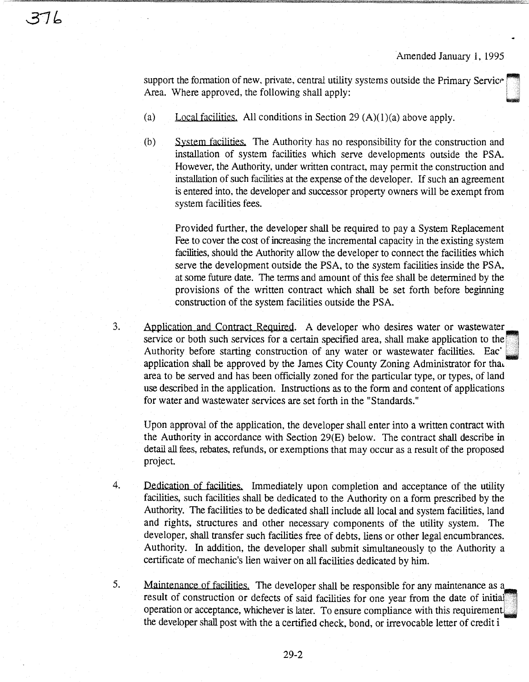support the formation of new, private, central utility systems outside the Primary Service Area. Where approved, the following shall apply:

(a) Local facilities. All conditions in Section 29  $(A)(1)(a)$  above apply.

374

(b) System facilities. The Authority has no responsibility for the construction and installation of system facilities which serve developments outside the PSA. However, the Authority, under written contract, may permit the construction and installation of such facilities at the expense of the developer. If such an agreement is entered into, the developer and successor property owners will be exempt from system facilities fees.

Provided further, the developer shall be required to pay a System Replacement Fee to cover the cost of increasing the incremental capacity in the existing system facilities, should the Authority allow the developer to connect the facilities which serve the development outside the PSA, to the system facilities inside the PSA, at some future date. The terms and amount of this fee shall be determined by the provisions of the written contract which shall be set forth before beginning construction of the system facilities outside the PSA.

3. Application and Contract Required. A developer who desires water or wastewater service or both such services for a certain specified area, shall make application to the Authority before starting construction of any water or wastewater facilities. Eac application shall be approved by the James City County Zoning Administrator for that area to be served and has been officially zoned for the particular type, or types, of land use described in the application. Instructions as to the form and content of applications for water and wastewater services are set forth in the "Standards."

> Upon approval of the application, the developer shall enter into a written contract with the Authority in accordance with Section 29(E) below. The contract shall describe in detail all fees, rebates, refunds, or exemptions that may occur as a result of the proposed project.

4. Dedication of facilities. Immediately upon completion and acceptance of the utility facilities, such facilities shall be dedicated to the Authority on a form prescribed by the Authority. The facilities to be dedicated shall include all local and system facilities, land and rights, structures and other necessary components of the utility system. The developer, shall transfer such facilities free of debts, liens or other legal encumbrances. Authority. In addition, the developer shall submit simultaneously to the Authority a certificate of mechanic's lien waiver on all facilities dedicated by him.

5. Maintenance of facilities. The developer shall be responsible for any maintenance as a result of construction or defects of said facilities for one year from the date of initial. operation or acceptance, whichever is later. To ensure compliance with this requirement. the developer shall post with the a certified check, bond, or irrevocable letter of credit i